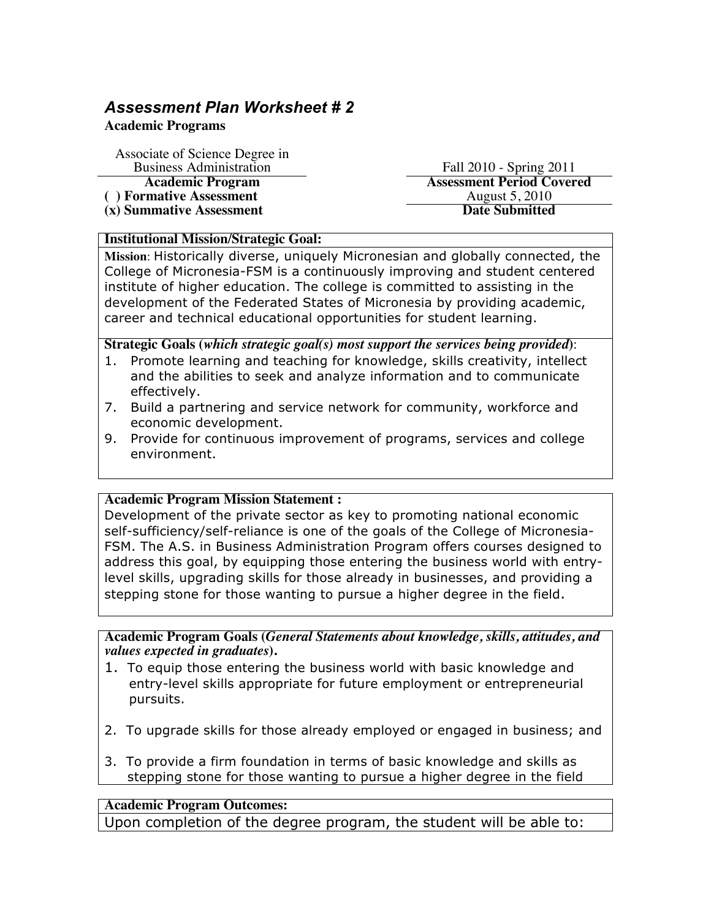# *Assessment Plan Worksheet # 2*

## **Academic Programs**

Associate of Science Degree in

**(x) Summative Assessment** 

Business Administration<br> **Academic Program**<br> **Assessment Period Cover Assessment Period Covered**<br>August 5, 2010 (a) Formative Assessment<br>
(x) Summative Assessment<br>
August 5, 2010<br>
Date Submitted

### **Institutional Mission/Strategic Goal:**

**Mission**: Historically diverse, uniquely Micronesian and globally connected, the College of Micronesia-FSM is a continuously improving and student centered institute of higher education. The college is committed to assisting in the development of the Federated States of Micronesia by providing academic, career and technical educational opportunities for student learning.

**Strategic Goals (***which strategic goal(s) most support the services being provided***)**:

- 1. Promote learning and teaching for knowledge, skills creativity, intellect and the abilities to seek and analyze information and to communicate effectively.
- 7. Build a partnering and service network for community, workforce and economic development.
- 9. Provide for continuous improvement of programs, services and college environment.

# **Academic Program Mission Statement :**

Development of the private sector as key to promoting national economic self-sufficiency/self-reliance is one of the goals of the College of Micronesia-FSM. The A.S. in Business Administration Program offers courses designed to address this goal, by equipping those entering the business world with entrylevel skills, upgrading skills for those already in businesses, and providing a stepping stone for those wanting to pursue a higher degree in the field.

**Academic Program Goals (***General Statements about knowledge, skills, attitudes, and values expected in graduates***).** 

- 1. To equip those entering the business world with basic knowledge and entry-level skills appropriate for future employment or entrepreneurial pursuits.
- 2. To upgrade skills for those already employed or engaged in business; and
- 3. To provide a firm foundation in terms of basic knowledge and skills as stepping stone for those wanting to pursue a higher degree in the field

#### **Academic Program Outcomes:**

Upon completion of the degree program, the student will be able to: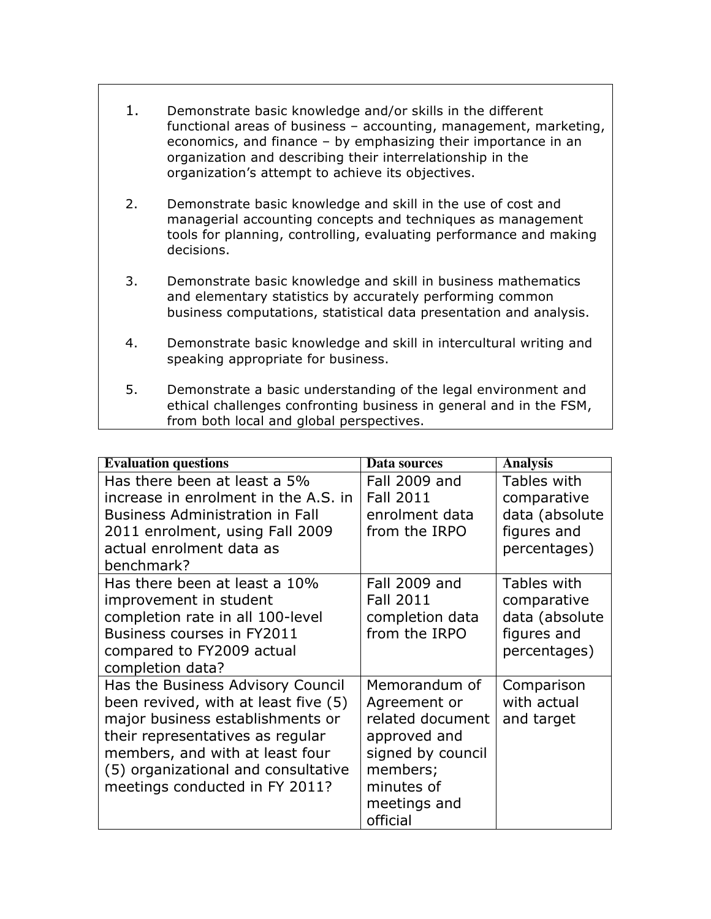- 1. Demonstrate basic knowledge and/or skills in the different functional areas of business – accounting, management, marketing, economics, and finance – by emphasizing their importance in an organization and describing their interrelationship in the organization's attempt to achieve its objectives.
- 2. Demonstrate basic knowledge and skill in the use of cost and managerial accounting concepts and techniques as management tools for planning, controlling, evaluating performance and making decisions.
- 3. Demonstrate basic knowledge and skill in business mathematics and elementary statistics by accurately performing common business computations, statistical data presentation and analysis.
- 4. Demonstrate basic knowledge and skill in intercultural writing and speaking appropriate for business.
- 5. Demonstrate a basic understanding of the legal environment and ethical challenges confronting business in general and in the FSM, from both local and global perspectives.

| <b>Evaluation questions</b>            | <b>Data sources</b> | <b>Analysis</b> |
|----------------------------------------|---------------------|-----------------|
| Has there been at least a 5%           | Fall 2009 and       | Tables with     |
| increase in enrolment in the A.S. in   | <b>Fall 2011</b>    | comparative     |
| <b>Business Administration in Fall</b> | enrolment data      | data (absolute  |
| 2011 enrolment, using Fall 2009        | from the IRPO       | figures and     |
| actual enrolment data as               |                     | percentages)    |
| benchmark?                             |                     |                 |
| Has there been at least a 10%          | Fall 2009 and       | Tables with     |
| improvement in student                 | <b>Fall 2011</b>    | comparative     |
| completion rate in all 100-level       | completion data     | data (absolute  |
| Business courses in FY2011             | from the IRPO       | figures and     |
| compared to FY2009 actual              |                     | percentages)    |
| completion data?                       |                     |                 |
| Has the Business Advisory Council      | Memorandum of       | Comparison      |
| been revived, with at least five (5)   | Agreement or        | with actual     |
| major business establishments or       | related document    | and target      |
| their representatives as regular       | approved and        |                 |
| members, and with at least four        | signed by council   |                 |
| (5) organizational and consultative    | members;            |                 |
| meetings conducted in FY 2011?         | minutes of          |                 |
|                                        | meetings and        |                 |
|                                        | official            |                 |